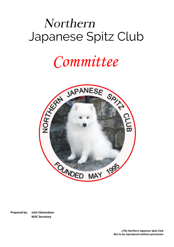### Northern  Japanese Spitz Club

# *Committee*



**Prepared by: Julie Edmondson NJSC Secretary**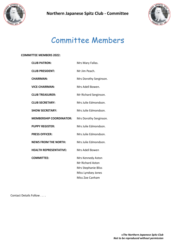



## Committee Members

#### **COMMITTEE MEMBERS 2022:**

| <b>CLUB PATRON:</b>            | Mrs Mary Fallas.        |
|--------------------------------|-------------------------|
| <b>CLUB PRESIDENT:</b>         | Mr Jim Peach.           |
| <b>CHAIRMAN:</b>               | Mrs Dorothy Serginson.  |
| <b>VICE-CHAIRMAN:</b>          | Mrs Adell Bowen.        |
| <b>CLUB TREASURER:</b>         | Mr Richard Serginson.   |
| <b>CLUB SECRETARY:</b>         | Mrs Julie Edmondson.    |
| <b>SHOW SECRETARY:</b>         | Mrs Julie Edmondson.    |
| <b>MEMBERSHIP COORDINATOR:</b> | Mrs Dorothy Serginson.  |
| <b>PUPPY REGISTER:</b>         | Mrs Julie Edmondson.    |
| <b>PRESS OFFICER:</b>          | Mrs Julie Edmondson.    |
| <b>NEWS FROM THE NORTH:</b>    | Mrs Julie Edmondson.    |
| <b>HEALTH REPRESENTATIVE:</b>  | Mrs Adell Bowen         |
| <b>COMMITTEE:</b>              | Mrs Kennedy Aston       |
|                                | <b>Mr Richard Aston</b> |
|                                | Mrs Stephanie Bliss     |
|                                | Miss Lyndsey Jones      |
|                                | Miss Zoe Canham         |
|                                |                         |

Contact Details Follow . . . .